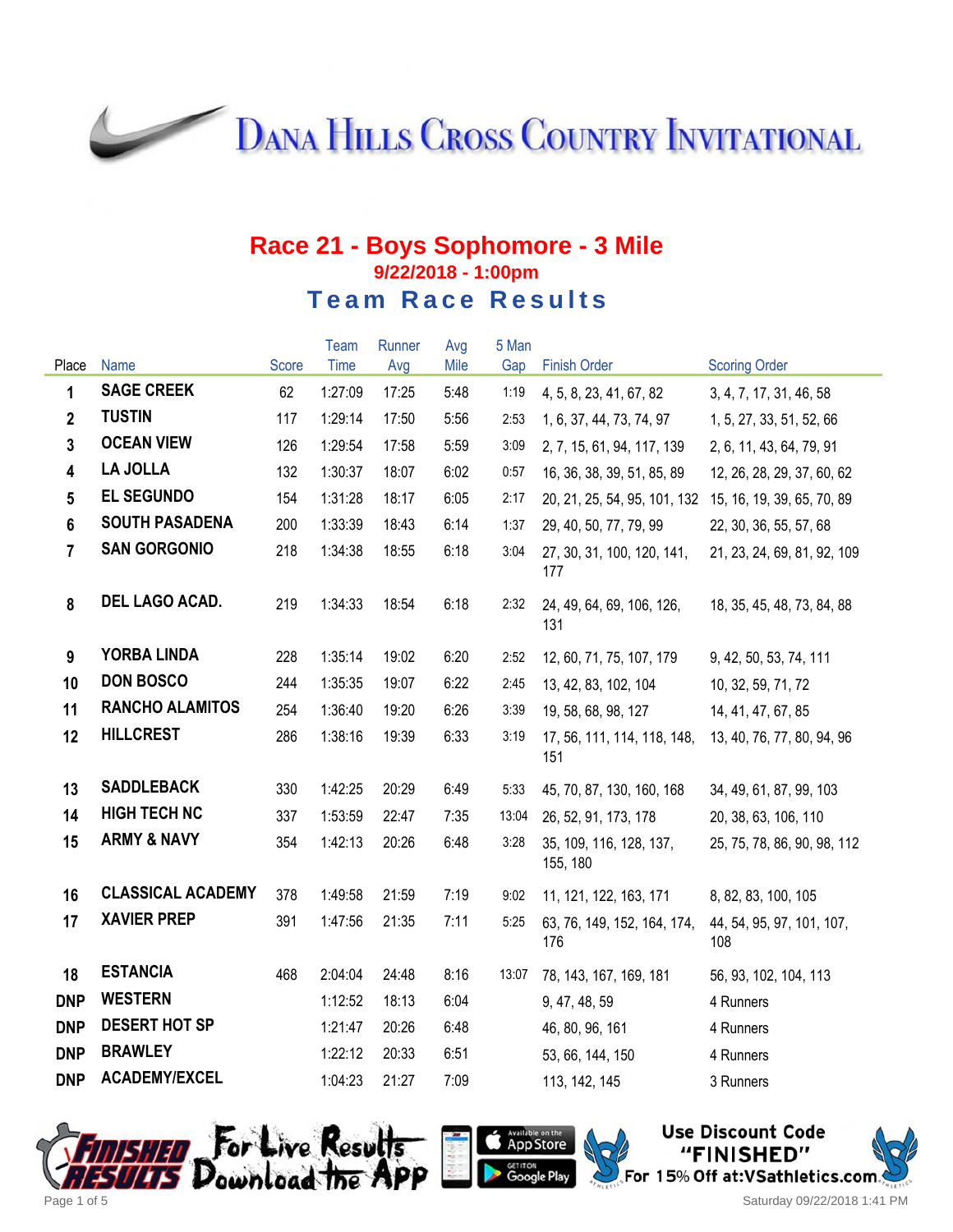**DANA HILLS CROSS COUNTRY INVITATIONAL** 

#### **Race 21 - Boys Sophomore - 3 Mile 9/22/2018 - 1:00pm Team Race Results**

|                         |                          |       | Team    | Runner | Avg  | 5 Man |                                     |                                  |
|-------------------------|--------------------------|-------|---------|--------|------|-------|-------------------------------------|----------------------------------|
| Place                   | <b>Name</b>              | Score | Time    | Avg    | Mile | Gap   | <b>Finish Order</b>                 | <b>Scoring Order</b>             |
| 1                       | <b>SAGE CREEK</b>        | 62    | 1:27:09 | 17:25  | 5:48 | 1:19  | 4, 5, 8, 23, 41, 67, 82             | 3, 4, 7, 17, 31, 46, 58          |
| $\mathbf{2}$            | <b>TUSTIN</b>            | 117   | 1:29:14 | 17:50  | 5:56 | 2:53  | 1, 6, 37, 44, 73, 74, 97            | 1, 5, 27, 33, 51, 52, 66         |
| $\mathbf{3}$            | <b>OCEAN VIEW</b>        | 126   | 1:29:54 | 17:58  | 5:59 | 3:09  | 2, 7, 15, 61, 94, 117, 139          | 2, 6, 11, 43, 64, 79, 91         |
| $\overline{\mathbf{4}}$ | <b>LA JOLLA</b>          | 132   | 1:30:37 | 18:07  | 6:02 | 0:57  | 16, 36, 38, 39, 51, 85, 89          | 12, 26, 28, 29, 37, 60, 62       |
| 5                       | <b>EL SEGUNDO</b>        | 154   | 1:31:28 | 18:17  | 6:05 | 2:17  | 20, 21, 25, 54, 95, 101, 132        | 15, 16, 19, 39, 65, 70, 89       |
| 6                       | <b>SOUTH PASADENA</b>    | 200   | 1:33:39 | 18:43  | 6:14 | 1:37  | 29, 40, 50, 77, 79, 99              | 22, 30, 36, 55, 57, 68           |
| $\overline{7}$          | <b>SAN GORGONIO</b>      | 218   | 1:34:38 | 18:55  | 6:18 | 3:04  | 27, 30, 31, 100, 120, 141,<br>177   | 21, 23, 24, 69, 81, 92, 109      |
| 8                       | DEL LAGO ACAD.           | 219   | 1:34:33 | 18:54  | 6:18 | 2:32  | 24, 49, 64, 69, 106, 126,<br>131    | 18, 35, 45, 48, 73, 84, 88       |
| 9                       | <b>YORBA LINDA</b>       | 228   | 1:35:14 | 19:02  | 6:20 | 2:52  | 12, 60, 71, 75, 107, 179            | 9, 42, 50, 53, 74, 111           |
| 10                      | <b>DON BOSCO</b>         | 244   | 1:35:35 | 19:07  | 6:22 | 2:45  | 13, 42, 83, 102, 104                | 10, 32, 59, 71, 72               |
| 11                      | <b>RANCHO ALAMITOS</b>   | 254   | 1:36:40 | 19:20  | 6:26 | 3:39  | 19, 58, 68, 98, 127                 | 14, 41, 47, 67, 85               |
| 12                      | <b>HILLCREST</b>         | 286   | 1:38:16 | 19:39  | 6:33 | 3:19  | 17, 56, 111, 114, 118, 148,<br>151  | 13, 40, 76, 77, 80, 94, 96       |
| 13                      | <b>SADDLEBACK</b>        | 330   | 1:42:25 | 20:29  | 6:49 | 5:33  | 45, 70, 87, 130, 160, 168           | 34, 49, 61, 87, 99, 103          |
| 14                      | <b>HIGH TECH NC</b>      | 337   | 1:53:59 | 22:47  | 7:35 | 13:04 | 26, 52, 91, 173, 178                | 20, 38, 63, 106, 110             |
| 15                      | <b>ARMY &amp; NAVY</b>   | 354   | 1:42:13 | 20:26  | 6:48 | 3:28  | 35, 109, 116, 128, 137,<br>155, 180 | 25, 75, 78, 86, 90, 98, 112      |
| 16                      | <b>CLASSICAL ACADEMY</b> | 378   | 1:49:58 | 21:59  | 7:19 | 9:02  | 11, 121, 122, 163, 171              | 8, 82, 83, 100, 105              |
| 17                      | <b>XAVIER PREP</b>       | 391   | 1:47:56 | 21:35  | 7:11 | 5:25  | 63, 76, 149, 152, 164, 174,<br>176  | 44, 54, 95, 97, 101, 107,<br>108 |
| 18                      | <b>ESTANCIA</b>          | 468   | 2:04:04 | 24:48  | 8:16 | 13:07 | 78, 143, 167, 169, 181              | 56, 93, 102, 104, 113            |
| <b>DNP</b>              | <b>WESTERN</b>           |       | 1:12:52 | 18:13  | 6:04 |       | 9, 47, 48, 59                       | 4 Runners                        |
| <b>DNP</b>              | <b>DESERT HOT SP</b>     |       | 1:21:47 | 20:26  | 6:48 |       | 46, 80, 96, 161                     | 4 Runners                        |
| <b>DNP</b>              | <b>BRAWLEY</b>           |       | 1:22:12 | 20:33  | 6:51 |       | 53, 66, 144, 150                    | 4 Runners                        |
| <b>DNP</b>              | <b>ACADEMY/EXCEL</b>     |       | 1:04:23 | 21:27  | 7:09 |       | 113, 142, 145                       | 3 Runners                        |





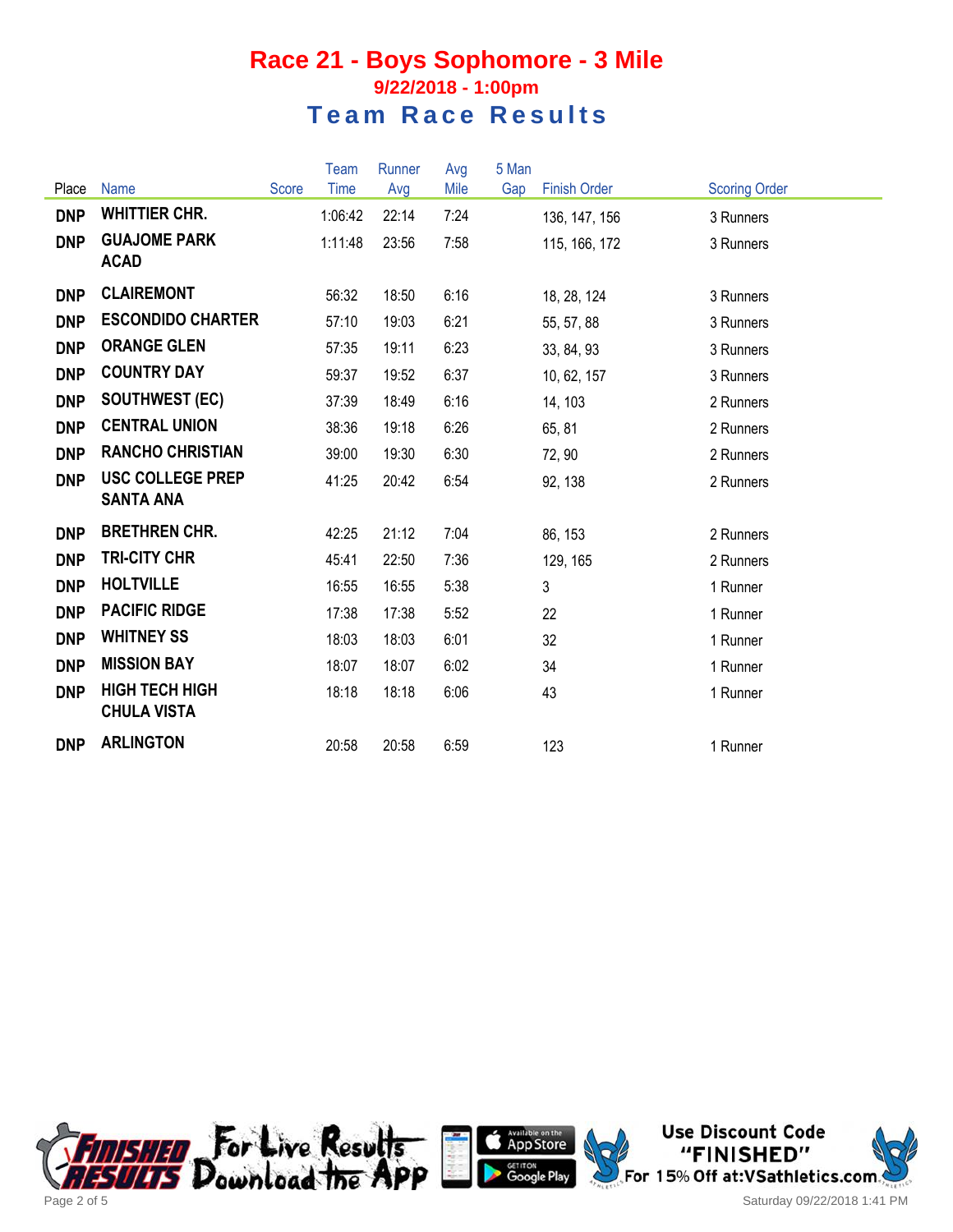#### **Race 21 - Boys Sophomore - 3 Mile 9/22/2018 - 1:00pm Team Race Results**

|            |                                             |              | <b>Team</b> | Runner | Avg  | 5 Man |                     |                      |
|------------|---------------------------------------------|--------------|-------------|--------|------|-------|---------------------|----------------------|
| Place      | Name                                        | <b>Score</b> | Time        | Avg    | Mile | Gap   | <b>Finish Order</b> | <b>Scoring Order</b> |
| <b>DNP</b> | <b>WHITTIER CHR.</b>                        |              | 1:06:42     | 22:14  | 7:24 |       | 136, 147, 156       | 3 Runners            |
| <b>DNP</b> | <b>GUAJOME PARK</b><br><b>ACAD</b>          |              | 1:11:48     | 23:56  | 7:58 |       | 115, 166, 172       | 3 Runners            |
| <b>DNP</b> | <b>CLAIREMONT</b>                           |              | 56:32       | 18:50  | 6:16 |       | 18, 28, 124         | 3 Runners            |
| <b>DNP</b> | <b>ESCONDIDO CHARTER</b>                    |              | 57:10       | 19:03  | 6:21 |       | 55, 57, 88          | 3 Runners            |
| <b>DNP</b> | <b>ORANGE GLEN</b>                          |              | 57:35       | 19:11  | 6:23 |       | 33, 84, 93          | 3 Runners            |
| <b>DNP</b> | <b>COUNTRY DAY</b>                          |              | 59:37       | 19:52  | 6:37 |       | 10, 62, 157         | 3 Runners            |
| <b>DNP</b> | <b>SOUTHWEST (EC)</b>                       |              | 37:39       | 18:49  | 6:16 |       | 14, 103             | 2 Runners            |
| <b>DNP</b> | <b>CENTRAL UNION</b>                        |              | 38:36       | 19:18  | 6:26 |       | 65, 81              | 2 Runners            |
| <b>DNP</b> | <b>RANCHO CHRISTIAN</b>                     |              | 39:00       | 19:30  | 6:30 |       | 72, 90              | 2 Runners            |
| <b>DNP</b> | <b>USC COLLEGE PREP</b><br><b>SANTA ANA</b> |              | 41:25       | 20:42  | 6:54 |       | 92, 138             | 2 Runners            |
| <b>DNP</b> | <b>BRETHREN CHR.</b>                        |              | 42:25       | 21:12  | 7:04 |       | 86, 153             | 2 Runners            |
| <b>DNP</b> | <b>TRI-CITY CHR</b>                         |              | 45:41       | 22:50  | 7:36 |       | 129, 165            | 2 Runners            |
| <b>DNP</b> | <b>HOLTVILLE</b>                            |              | 16:55       | 16:55  | 5:38 |       | 3                   | 1 Runner             |
| <b>DNP</b> | <b>PACIFIC RIDGE</b>                        |              | 17:38       | 17:38  | 5:52 |       | 22                  | 1 Runner             |
| <b>DNP</b> | <b>WHITNEY SS</b>                           |              | 18:03       | 18:03  | 6:01 |       | 32                  | 1 Runner             |
| <b>DNP</b> | <b>MISSION BAY</b>                          |              | 18:07       | 18:07  | 6:02 |       | 34                  | 1 Runner             |
| <b>DNP</b> | <b>HIGH TECH HIGH</b><br><b>CHULA VISTA</b> |              | 18:18       | 18:18  | 6:06 |       | 43                  | 1 Runner             |
| <b>DNP</b> | <b>ARLINGTON</b>                            |              | 20:58       | 20:58  | 6:59 |       | 123                 | 1 Runner             |





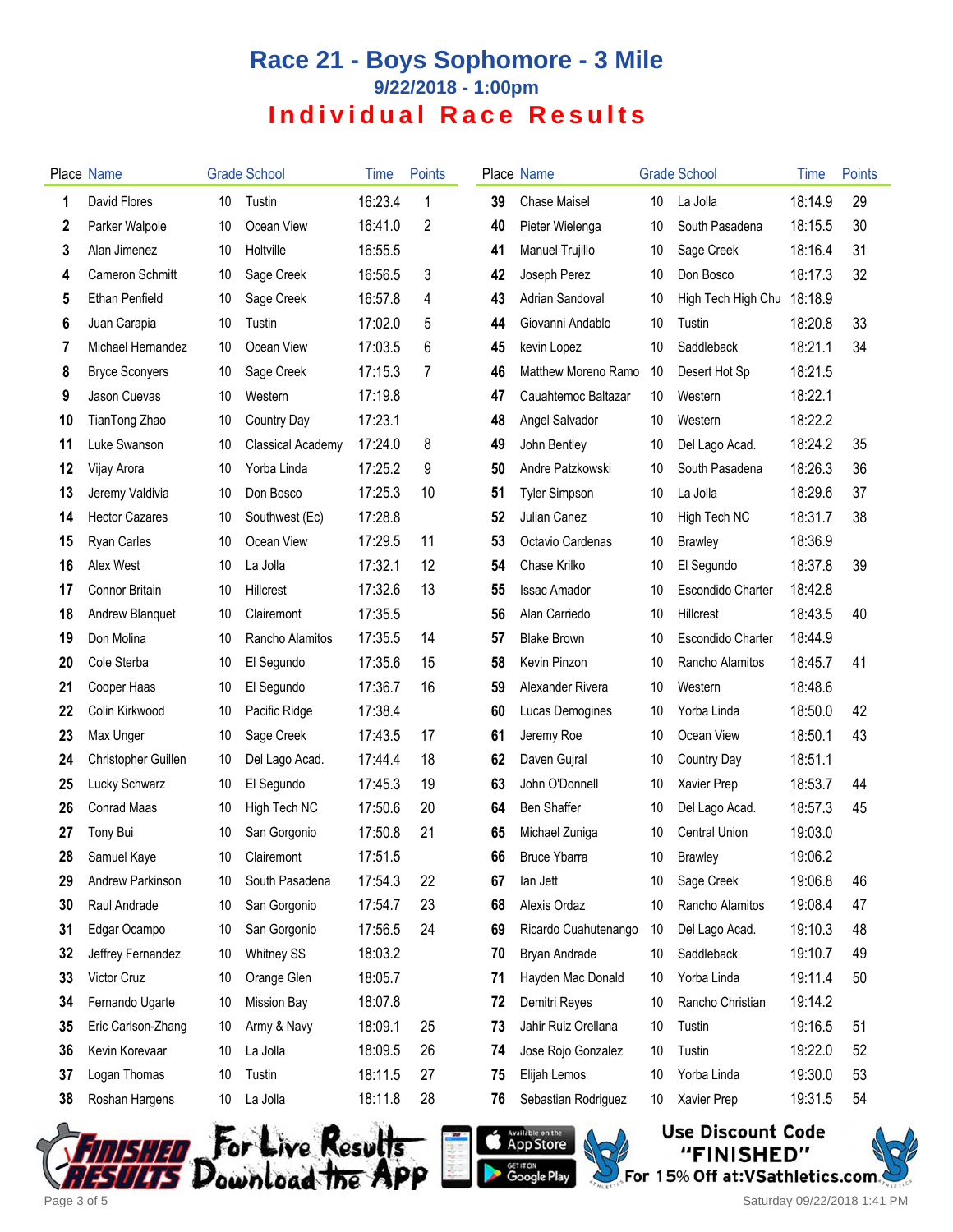# **Race 21 - Boys Sophomore - 3 Mile 9/22/2018 - 1:00pm Individual Race Results**

|                  | <b>Place Name</b>      |    | <b>Grade School</b>      | Time    | <b>Points</b> |    | Place Name           |    | <b>Grade School</b>      | Time    | Points |
|------------------|------------------------|----|--------------------------|---------|---------------|----|----------------------|----|--------------------------|---------|--------|
| 1                | David Flores           | 10 | Tustin                   | 16:23.4 | 1             | 39 | <b>Chase Maisel</b>  | 10 | La Jolla                 | 18:14.9 | 29     |
| $\boldsymbol{2}$ | Parker Walpole         | 10 | Ocean View               | 16:41.0 | 2             | 40 | Pieter Wielenga      | 10 | South Pasadena           | 18:15.5 | 30     |
| 3                | Alan Jimenez           | 10 | Holtville                | 16:55.5 |               | 41 | Manuel Trujillo      | 10 | Sage Creek               | 18:16.4 | 31     |
| 4                | <b>Cameron Schmitt</b> | 10 | Sage Creek               | 16:56.5 | 3             | 42 | Joseph Perez         | 10 | Don Bosco                | 18:17.3 | 32     |
| 5                | <b>Ethan Penfield</b>  | 10 | Sage Creek               | 16:57.8 | 4             | 43 | Adrian Sandoval      | 10 | High Tech High Chu       | 18:18.9 |        |
| 6                | Juan Carapia           | 10 | Tustin                   | 17:02.0 | 5             | 44 | Giovanni Andablo     | 10 | Tustin                   | 18:20.8 | 33     |
| 7                | Michael Hernandez      | 10 | Ocean View               | 17:03.5 | 6             | 45 | kevin Lopez          | 10 | Saddleback               | 18:21.1 | 34     |
| 8                | <b>Bryce Sconyers</b>  | 10 | Sage Creek               | 17:15.3 | 7             | 46 | Matthew Moreno Ramo  | 10 | Desert Hot Sp            | 18:21.5 |        |
| 9                | Jason Cuevas           | 10 | Western                  | 17:19.8 |               | 47 | Cauahtemoc Baltazar  | 10 | Western                  | 18:22.1 |        |
| 10               | TianTong Zhao          | 10 | Country Day              | 17:23.1 |               | 48 | Angel Salvador       | 10 | Western                  | 18:22.2 |        |
| 11               | Luke Swanson           | 10 | <b>Classical Academy</b> | 17:24.0 | 8             | 49 | John Bentley         | 10 | Del Lago Acad.           | 18:24.2 | 35     |
| 12               | Vijay Arora            | 10 | Yorba Linda              | 17:25.2 | 9             | 50 | Andre Patzkowski     | 10 | South Pasadena           | 18:26.3 | 36     |
| 13               | Jeremy Valdivia        | 10 | Don Bosco                | 17:25.3 | 10            | 51 | <b>Tyler Simpson</b> | 10 | La Jolla                 | 18:29.6 | 37     |
| 14               | <b>Hector Cazares</b>  | 10 | Southwest (Ec)           | 17:28.8 |               | 52 | Julian Canez         | 10 | High Tech NC             | 18:31.7 | 38     |
| 15               | <b>Ryan Carles</b>     | 10 | Ocean View               | 17:29.5 | 11            | 53 | Octavio Cardenas     | 10 | <b>Brawley</b>           | 18:36.9 |        |
| 16               | Alex West              | 10 | La Jolla                 | 17:32.1 | 12            | 54 | Chase Krilko         | 10 | El Segundo               | 18:37.8 | 39     |
| 17               | <b>Connor Britain</b>  | 10 | <b>Hillcrest</b>         | 17:32.6 | 13            | 55 | <b>Issac Amador</b>  | 10 | Escondido Charter        | 18:42.8 |        |
| 18               | Andrew Blanquet        | 10 | Clairemont               | 17:35.5 |               | 56 | Alan Carriedo        | 10 | Hillcrest                | 18:43.5 | 40     |
| 19               | Don Molina             | 10 | Rancho Alamitos          | 17:35.5 | 14            | 57 | <b>Blake Brown</b>   | 10 | <b>Escondido Charter</b> | 18:44.9 |        |
| 20               | Cole Sterba            | 10 | El Segundo               | 17:35.6 | 15            | 58 | Kevin Pinzon         | 10 | Rancho Alamitos          | 18:45.7 | 41     |
| 21               | Cooper Haas            | 10 | El Segundo               | 17:36.7 | 16            | 59 | Alexander Rivera     | 10 | Western                  | 18:48.6 |        |
| 22               | Colin Kirkwood         | 10 | Pacific Ridge            | 17:38.4 |               | 60 | Lucas Demogines      | 10 | Yorba Linda              | 18:50.0 | 42     |
| 23               | Max Unger              | 10 | Sage Creek               | 17:43.5 | 17            | 61 | Jeremy Roe           | 10 | Ocean View               | 18:50.1 | 43     |
| 24               | Christopher Guillen    | 10 | Del Lago Acad.           | 17:44.4 | 18            | 62 | Daven Gujral         | 10 | Country Day              | 18:51.1 |        |
| 25               | Lucky Schwarz          | 10 | El Segundo               | 17:45.3 | 19            | 63 | John O'Donnell       | 10 | Xavier Prep              | 18:53.7 | 44     |
| 26               | Conrad Maas            | 10 | High Tech NC             | 17:50.6 | 20            | 64 | Ben Shaffer          | 10 | Del Lago Acad.           | 18:57.3 | 45     |
| 27               | Tony Bui               | 10 | San Gorgonio             | 17:50.8 | 21            | 65 | Michael Zuniga       | 10 | <b>Central Union</b>     | 19:03.0 |        |
| 28               | Samuel Kaye            | 10 | Clairemont               | 17:51.5 |               | 66 | <b>Bruce Ybarra</b>  | 10 | <b>Brawley</b>           | 19:06.2 |        |
| 29               | Andrew Parkinson       | 10 | South Pasadena           | 17:54.3 | 22            | 67 | lan Jett             | 10 | Sage Creek               | 19:06.8 | 46     |
| 30               | Raul Andrade           | 10 | San Gorgonio             | 17:54.7 | 23            | 68 | Alexis Ordaz         | 10 | Rancho Alamitos          | 19:08.4 | 47     |
| 31               | Edgar Ocampo           | 10 | San Gorgonio             | 17:56.5 | 24            | 69 | Ricardo Cuahutenango | 10 | Del Lago Acad.           | 19:10.3 | 48     |
| 32               | Jeffrey Fernandez      | 10 | <b>Whitney SS</b>        | 18:03.2 |               | 70 | Bryan Andrade        | 10 | Saddleback               | 19:10.7 | 49     |
| 33               | Victor Cruz            | 10 | Orange Glen              | 18:05.7 |               | 71 | Hayden Mac Donald    | 10 | Yorba Linda              | 19:11.4 | 50     |
| 34               | Fernando Ugarte        | 10 | <b>Mission Bay</b>       | 18:07.8 |               | 72 | Demitri Reyes        | 10 | Rancho Christian         | 19:14.2 |        |
| 35               | Eric Carlson-Zhang     | 10 | Army & Navy              | 18:09.1 | 25            | 73 | Jahir Ruiz Orellana  | 10 | Tustin                   | 19:16.5 | 51     |
| 36               | Kevin Korevaar         | 10 | La Jolla                 | 18:09.5 | 26            | 74 | Jose Rojo Gonzalez   | 10 | Tustin                   | 19:22.0 | 52     |
| 37               | Logan Thomas           | 10 | Tustin                   | 18:11.5 | 27            | 75 | Elijah Lemos         | 10 | Yorba Linda              | 19:30.0 | 53     |
| 38               | Roshan Hargens         | 10 | La Jolla                 | 18:11.8 | 28            | 76 | Sebastian Rodriguez  | 10 | Xavier Prep              | 19:31.5 | 54     |







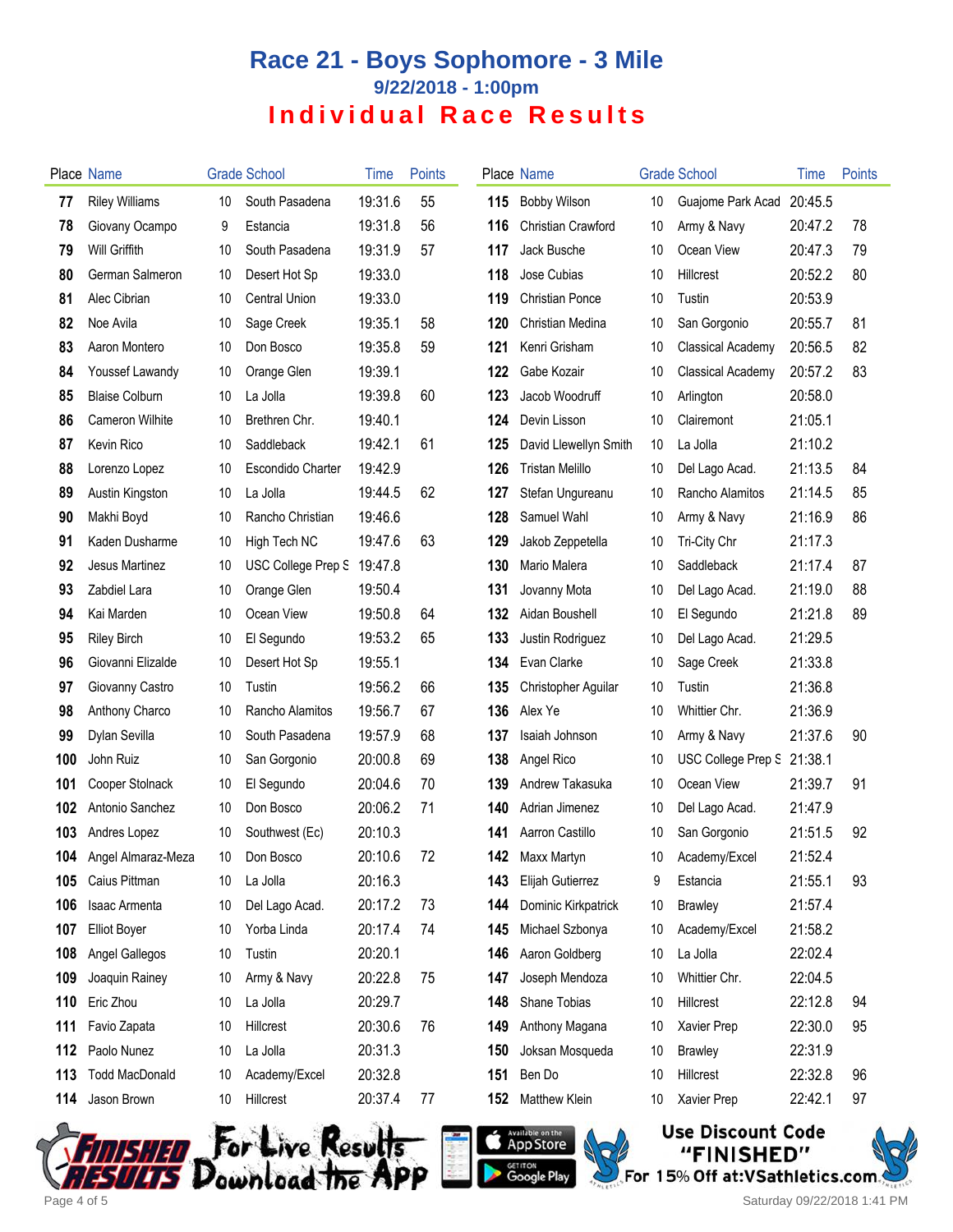# **Race 21 - Boys Sophomore - 3 Mile 9/22/2018 - 1:00pm Individual Race Results**

|     | Place Name             |    | <b>Grade School</b>      | <b>l</b> ime | <b>Points</b> |     | Place Name                |    | <b>Grade School</b>      | Time    | Points |
|-----|------------------------|----|--------------------------|--------------|---------------|-----|---------------------------|----|--------------------------|---------|--------|
| 77  | <b>Riley Williams</b>  | 10 | South Pasadena           | 19:31.6      | 55            | 115 | <b>Bobby Wilson</b>       | 10 | Guajome Park Acad        | 20:45.5 |        |
| 78  | Giovany Ocampo         | 9  | Estancia                 | 19:31.8      | 56            | 116 | <b>Christian Crawford</b> | 10 | Army & Navy              | 20:47.2 | 78     |
| 79  | <b>Will Griffith</b>   | 10 | South Pasadena           | 19:31.9      | 57            | 117 | Jack Busche               | 10 | Ocean View               | 20:47.3 | 79     |
| 80  | German Salmeron        | 10 | Desert Hot Sp            | 19:33.0      |               | 118 | Jose Cubias               | 10 | Hillcrest                | 20:52.2 | 80     |
| 81  | Alec Cibrian           | 10 | <b>Central Union</b>     | 19:33.0      |               | 119 | <b>Christian Ponce</b>    | 10 | Tustin                   | 20:53.9 |        |
| 82  | Noe Avila              | 10 | Sage Creek               | 19:35.1      | 58            | 120 | Christian Medina          | 10 | San Gorgonio             | 20:55.7 | 81     |
| 83  | Aaron Montero          | 10 | Don Bosco                | 19:35.8      | 59            | 121 | Kenri Grisham             | 10 | <b>Classical Academy</b> | 20:56.5 | 82     |
| 84  | Youssef Lawandy        | 10 | Orange Glen              | 19:39.1      |               | 122 | Gabe Kozair               | 10 | <b>Classical Academy</b> | 20:57.2 | 83     |
| 85  | <b>Blaise Colburn</b>  | 10 | La Jolla                 | 19:39.8      | 60            | 123 | Jacob Woodruff            | 10 | Arlington                | 20:58.0 |        |
| 86  | Cameron Wilhite        | 10 | Brethren Chr.            | 19:40.1      |               | 124 | Devin Lisson              | 10 | Clairemont               | 21:05.1 |        |
| 87  | Kevin Rico             | 10 | Saddleback               | 19:42.1      | 61            | 125 | David Llewellyn Smith     | 10 | La Jolla                 | 21:10.2 |        |
| 88  | Lorenzo Lopez          | 10 | <b>Escondido Charter</b> | 19:42.9      |               | 126 | <b>Tristan Melillo</b>    | 10 | Del Lago Acad.           | 21:13.5 | 84     |
| 89  | Austin Kingston        | 10 | La Jolla                 | 19:44.5      | 62            | 127 | Stefan Ungureanu          | 10 | Rancho Alamitos          | 21:14.5 | 85     |
| 90  | Makhi Boyd             | 10 | Rancho Christian         | 19:46.6      |               | 128 | Samuel Wahl               | 10 | Army & Navy              | 21:16.9 | 86     |
| 91  | Kaden Dusharme         | 10 | High Tech NC             | 19:47.6      | 63            | 129 | Jakob Zeppetella          | 10 | Tri-City Chr             | 21:17.3 |        |
| 92  | Jesus Martinez         | 10 | USC College Prep S       | 19:47.8      |               | 130 | Mario Malera              | 10 | Saddleback               | 21:17.4 | 87     |
| 93  | Zabdiel Lara           | 10 | Orange Glen              | 19:50.4      |               | 131 | Jovanny Mota              | 10 | Del Lago Acad.           | 21:19.0 | 88     |
| 94  | Kai Marden             | 10 | Ocean View               | 19:50.8      | 64            | 132 | Aidan Boushell            | 10 | El Segundo               | 21:21.8 | 89     |
| 95  | <b>Riley Birch</b>     | 10 | El Segundo               | 19:53.2      | 65            | 133 | Justin Rodriguez          | 10 | Del Lago Acad.           | 21:29.5 |        |
| 96  | Giovanni Elizalde      | 10 | Desert Hot Sp            | 19:55.1      |               | 134 | Evan Clarke               | 10 | Sage Creek               | 21:33.8 |        |
| 97  | Giovanny Castro        | 10 | Tustin                   | 19:56.2      | 66            | 135 | Christopher Aguilar       | 10 | Tustin                   | 21:36.8 |        |
| 98  | Anthony Charco         | 10 | Rancho Alamitos          | 19:56.7      | 67            | 136 | Alex Ye                   | 10 | Whittier Chr.            | 21:36.9 |        |
| 99  | Dylan Sevilla          | 10 | South Pasadena           | 19:57.9      | 68            | 137 | Isaiah Johnson            | 10 | Army & Navy              | 21:37.6 | 90     |
| 100 | John Ruiz              | 10 | San Gorgonio             | 20:00.8      | 69            | 138 | Angel Rico                | 10 | USC College Prep S       | 21:38.1 |        |
| 101 | Cooper Stolnack        | 10 | El Segundo               | 20:04.6      | 70            | 139 | Andrew Takasuka           | 10 | Ocean View               | 21:39.7 | 91     |
| 102 | Antonio Sanchez        | 10 | Don Bosco                | 20:06.2      | 71            | 140 | Adrian Jimenez            | 10 | Del Lago Acad.           | 21:47.9 |        |
| 103 | Andres Lopez           | 10 | Southwest (Ec)           | 20:10.3      |               | 141 | Aarron Castillo           | 10 | San Gorgonio             | 21:51.5 | 92     |
|     | 104 Angel Almaraz-Meza | 10 | Don Bosco                | 20:10.6      | 72            | 142 | Maxx Martyn               | 10 | Academy/Excel            | 21:52.4 |        |
| 105 | Caius Pittman          | 10 | La Jolla                 | 20:16.3      |               | 143 | Elijah Gutierrez          | 9  | Estancia                 | 21:55.1 | 93     |
| 106 | <b>Isaac Armenta</b>   | 10 | Del Lago Acad.           | 20:17.2      | 73            | 144 | Dominic Kirkpatrick       | 10 | <b>Brawley</b>           | 21:57.4 |        |
| 107 | <b>Elliot Boyer</b>    | 10 | Yorba Linda              | 20:17.4      | 74            | 145 | Michael Szbonya           | 10 | Academy/Excel            | 21:58.2 |        |
| 108 | Angel Gallegos         | 10 | Tustin                   | 20:20.1      |               | 146 | Aaron Goldberg            | 10 | La Jolla                 | 22:02.4 |        |
| 109 | Joaquin Rainey         | 10 | Army & Navy              | 20:22.8      | 75            | 147 | Joseph Mendoza            | 10 | Whittier Chr.            | 22:04.5 |        |
| 110 | Eric Zhou              | 10 | La Jolla                 | 20:29.7      |               | 148 | Shane Tobias              | 10 | Hillcrest                | 22:12.8 | 94     |
| 111 | Favio Zapata           | 10 | Hillcrest                | 20:30.6      | 76            | 149 | Anthony Magana            | 10 | Xavier Prep              | 22:30.0 | 95     |
| 112 | Paolo Nunez            | 10 | La Jolla                 | 20:31.3      |               | 150 | Joksan Mosqueda           | 10 | <b>Brawley</b>           | 22:31.9 |        |
| 113 | <b>Todd MacDonald</b>  | 10 | Academy/Excel            | 20:32.8      |               | 151 | Ben Do                    | 10 | Hillcrest                | 22:32.8 | 96     |
| 114 | Jason Brown            | 10 | Hillcrest                | 20:37.4      | 77            | 152 | Matthew Klein             | 10 | Xavier Prep              | 22:42.1 | 97     |
|     |                        |    |                          |              |               |     |                           |    |                          |         |        |